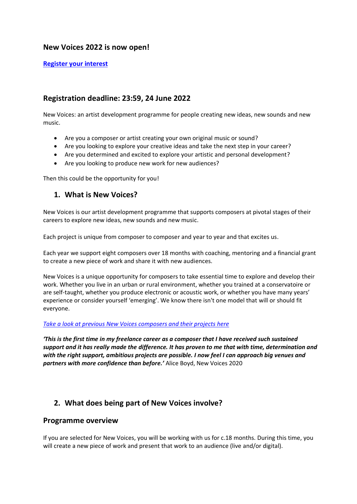## **New Voices 2022 is now open!**

**[Register your interest](https://www.surveymonkey.co.uk/r/C292VQM)**

# **Registration deadline: 23:59, 24 June 2022**

New Voices: an artist development programme for people creating new ideas, new sounds and new music.

- Are you a composer or artist creating your own original music or sound?
- Are you looking to explore your creative ideas and take the next step in your career?
- Are you determined and excited to explore your artistic and personal development?
- Are you looking to produce new work for new audiences?

Then this could be the opportunity for you!

## **1. What is New Voices?**

New Voices is our artist development programme that supports composers at pivotal stages of their careers to explore new ideas, new sounds and new music.

Each project is unique from composer to composer and year to year and that excites us.

Each year we support eight composers over 18 months with coaching, mentoring and a financial grant to create a new piece of work and share it with new audiences.

New Voices is a unique opportunity for composers to take essential time to explore and develop their work. Whether you live in an urban or rural environment, whether you trained at a conservatoire or are self-taught, whether you produce electronic or acoustic work, or whether you have many years' experience or consider yourself 'emerging'. We know there isn't one model that will or should fit everyone.

### *[Take a look at previous New Voices composers and their projects here](https://britishmusiccollection.org.uk/article/sound-and-musics-new-voices-2019-artist-experiences)*

*'This is the first time in my freelance career as a composer that I have received such sustained support and it has really made the difference. It has proven to me that with time, determination and with the right support, ambitious projects are possible. I now feel I can approach big venues and partners with more confidence than before.'* Alice Boyd, New Voices 2020

# **2. What does being part of New Voices involve?**

### **Programme overview**

If you are selected for New Voices, you will be working with us for c.18 months. During this time, you will create a new piece of work and present that work to an audience (live and/or digital).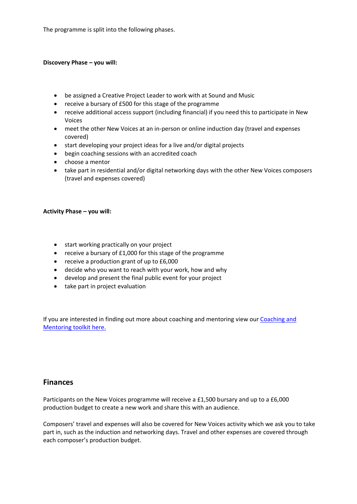The programme is split into the following phases.

#### **Discovery Phase – you will:**

- be assigned a Creative Project Leader to work with at Sound and Music
- receive a bursary of £500 for this stage of the programme
- receive additional access support (including financial) if you need this to participate in New Voices
- meet the other New Voices at an in-person or online induction day (travel and expenses covered)
- start developing your project ideas for a live and/or digital projects
- begin coaching sessions with an accredited coach
- choose a mentor
- take part in residential and/or digital networking days with the other New Voices composers (travel and expenses covered)

#### **Activity Phase – you will:**

- start working practically on your project
- receive a bursary of £1,000 for this stage of the programme
- receive a production grant of up to £6,000
- decide who you want to reach with your work, how and why
- develop and present the final public event for your project
- take part in project evaluation

If you are interested in finding out more about coaching and mentoring view our [Coaching and](https://soundandmusic.org/discover/resources/coaching-and-mentoring-toolkit/)  [Mentoring toolkit here.](https://soundandmusic.org/discover/resources/coaching-and-mentoring-toolkit/)

### **Finances**

Participants on the New Voices programme will receive a £1,500 bursary and up to a £6,000 production budget to create a new work and share this with an audience.

Composers' travel and expenses will also be covered for New Voices activity which we ask you to take part in, such as the induction and networking days. Travel and other expenses are covered through each composer's production budget.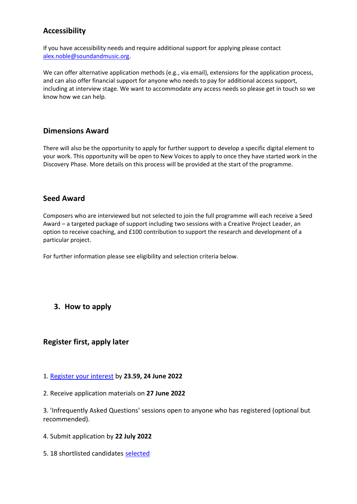# **Accessibility**

If you have accessibility needs and require additional support for applying please contact [alex.noble@soundandmusic.org.](mailto:alex.noble@soundandmusic.org)

We can offer alternative application methods (e.g., via email), extensions for the application process, and can also offer financial support for anyone who needs to pay for additional access support, including at interview stage. We want to accommodate any access needs so please get in touch so we know how we can help.

## **Dimensions Award**

There will also be the opportunity to apply for further support to develop a specific digital element to your work. This opportunity will be open to New Voices to apply to once they have started work in the Discovery Phase. More details on this process will be provided at the start of the programme.

### **Seed Award**

Composers who are interviewed but not selected to join the full programme will each receive a Seed Award – a targeted package of support including two sessions with a Creative Project Leader, an option to receive coaching, and £100 contribution to support the research and development of a particular project.

For further information please see eligibility and selection criteria below.

## **3. How to apply**

## **Register first, apply later**

- 1. [Register your interest](https://soundandmusic.org/new-voices-2022-registration/#1.%20*Register%20your%20interest*%20by%20[deadline]%20#2.%20Receive%20application%20materials%20on%20[date]%20#3.%20*IAQ%20sessions*%20open%20to%20anyone%20who%20has%20registered%20(optional%20but%20recommended)%20#4.%20Submit%20application%20by%20[deadline]%20#5.%2018%20shortlisted%20candidates%20selected%20#6.%20Interview%20stage%20with%20*panel*%20#7.%208%20people%20selected%20to%20join%20New%20Voices,%2010%20people%20awarded%20*Seed%20Award*.) by **23.59, 24 June 2022**
- 2. Receive application materials on **27 June 2022**

3. 'Infrequently Asked Questions' sessions open to anyone who has registered (optional but recommended).

- 4. Submit application by **22 July 2022**
- 5. 18 shortlisted candidates [selected](https://soundandmusic.org/new-voices-2022-registration/#h_2814755592581652445120986)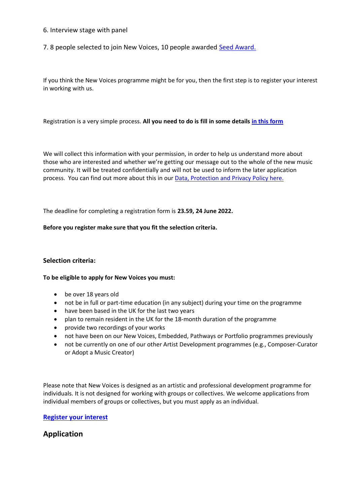- 6. Interview stage with panel
- 7. 8 people selected to join New Voices, 10 people awarded [Seed Award.](https://soundandmusic.org/new-voices-2022-registration/#Seed%20Award)

If you think the New Voices programme might be for you, then the first step is to register your interest in working with us.

Registration is a very simple process. **All you need to do is fill in some details in [this form](https://www.surveymonkey.co.uk/r/C292VQM)**

We will collect this information with your permission, in order to help us understand more about those who are interested and whether we're getting our message out to the whole of the new music community. It will be treated confidentially and will not be used to inform the later application process. You can find out more about this in our **[Data, Protection and Privacy Policy here.](https://soundandmusic.org/wp-content/uploads/2022/04/12_2021_DataProtectionandPrivacyPolicy_FINAL.pdf)** 

The deadline for completing a registration form is **23.59, 24 June 2022.**

#### **Before you register make sure that you fit the selection criteria.**

### **Selection criteria:**

#### **To be eligible to apply for New Voices you must:**

- be over 18 years old
- not be in full or part-time education (in any subject) during your time on the programme
- have been based in the UK for the last two years
- plan to remain resident in the UK for the 18-month duration of the programme
- provide two recordings of your works
- not have been on our New Voices, Embedded, Pathways or Portfolio programmes previously
- not be currently on one of our other Artist Development programmes (e.g., Composer-Curator or Adopt a Music Creator)

Please note that New Voices is designed as an artistic and professional development programme for individuals. It is not designed for working with groups or collectives. We welcome applications from individual members of groups or collectives, but you must apply as an individual.

### **[Register your interest](https://www.surveymonkey.co.uk/r/C292VQM)**

### **Application**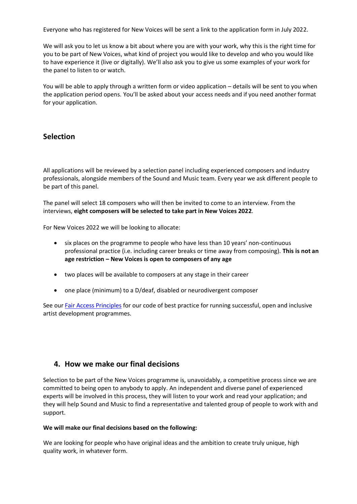Everyone who has registered for New Voices will be sent a link to the application form in July 2022.

We will ask you to let us know a bit about where you are with your work, why this is the right time for you to be part of New Voices, what kind of project you would like to develop and who you would like to have experience it (live or digitally). We'll also ask you to give us some examples of your work for the panel to listen to or watch.

You will be able to apply through a written form or video application – details will be sent to you when the application period opens. You'll be asked about your access needs and if you need another format for your application.

## **Selection**

All applications will be reviewed by a selection panel including experienced composers and industry professionals, alongside members of the Sound and Music team. Every year we ask different people to be part of this panel.

The panel will select 18 composers who will then be invited to come to an interview. From the interviews, **eight composers will be selected to take part in New Voices 2022**.

For New Voices 2022 we will be looking to allocate:

- six places on the programme to people who have less than 10 years' non-continuous professional practice (i.e. including career breaks or time away from composing). **This is not an age restriction – New Voices is open to composers of any age**
- two places will be available to composers at any stage in their career
- one place (minimum) to a D/deaf, disabled or neurodivergent composer

See our [Fair Access Principles](https://soundandmusic.org/our-impact/fair-access-principles/) for our code of best practice for running successful, open and inclusive artist development programmes.

### **4. How we make our final decisions**

Selection to be part of the New Voices programme is, unavoidably, a competitive process since we are committed to being open to anybody to apply. An independent and diverse panel of experienced experts will be involved in this process, they will listen to your work and read your application; and they will help Sound and Music to find a representative and talented group of people to work with and support.

#### **We will make our final decisions based on the following:**

We are looking for people who have original ideas and the ambition to create truly unique, high quality work, in whatever form.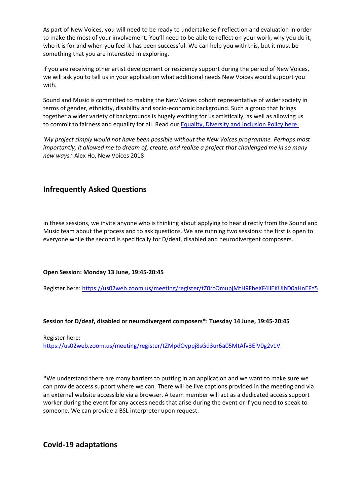As part of New Voices, you will need to be ready to undertake self-reflection and evaluation in order to make the most of your involvement. You'll need to be able to reflect on your work, why you do it, who it is for and when you feel it has been successful. We can help you with this, but it must be something that you are interested in exploring.

If you are receiving other artist development or residency support during the period of New Voices, we will ask you to tell us in your application what additional needs New Voices would support you with.

Sound and Music is committed to making the New Voices cohort representative of wider society in terms of gender, ethnicity, disability and socio-economic background. Such a group that brings together a wider variety of backgrounds is hugely exciting for us artistically, as well as allowing us to commit to fairness and equality for all. Read our **[Equality, Diversity and Inclusion Policy here.](https://soundandmusic.org/wp-content/uploads/2021/09/2021_EqualityDiversityandInclusionPolicy.pdf)** 

*'My project simply would not have been possible without the New Voices programme. Perhaps most importantly, it allowed me to dream of, create, and realise a project that challenged me in so many new ways.*' Alex Ho, New Voices 2018

## **Infrequently Asked Questions**

In these sessions, we invite anyone who is thinking about applying to hear directly from the Sound and Music team about the process and to ask questions. We are running two sessions: the first is open to everyone while the second is specifically for D/deaf, disabled and neurodivergent composers.

### **Open Session: Monday 13 June, 19:45-20:45**

Register here:<https://us02web.zoom.us/meeting/register/tZ0rcOmupjMtH9FheXF4iiEKUlhD0aHnEFY5>

### **Session for D/deaf, disabled or neurodivergent composers\*: Tuesday 14 June, 19:45-20:45**

Register here: <https://us02web.zoom.us/meeting/register/tZMpdOyppj8sGd3ur6a05MtAfv3ElV0g2v1V>

\*We understand there are many barriers to putting in an application and we want to make sure we can provide access support where we can. There will be live captions provided in the meeting and via an external website accessible via a browser. A team member will act as a dedicated access support worker during the event for any access needs that arise during the event or if you need to speak to someone. We can provide a BSL interpreter upon request.

**Covid-19 adaptations**